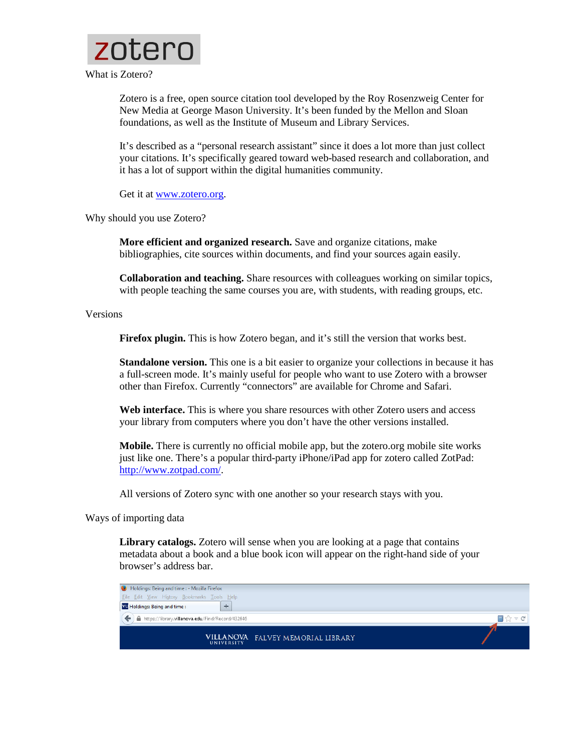

Zotero is a free, open source citation tool developed by the Roy Rosenzweig Center for New Media at George Mason University. It's been funded by the Mellon and Sloan foundations, as well as the Institute of Museum and Library Services.

It's described as a "personal research assistant" since it does a lot more than just collect your citations. It's specifically geared toward web-based research and collaboration, and it has a lot of support within the digital humanities community.

Get it at [www.zotero.org.](http://www.zotero.org/)

Why should you use Zotero?

**More efficient and organized research.** Save and organize citations, make bibliographies, cite sources within documents, and find your sources again easily.

**Collaboration and teaching.** Share resources with colleagues working on similar topics, with people teaching the same courses you are, with students, with reading groups, etc.

Versions

**Firefox plugin.** This is how Zotero began, and it's still the version that works best.

**Standalone version.** This one is a bit easier to organize your collections in because it has a full-screen mode. It's mainly useful for people who want to use Zotero with a browser other than Firefox. Currently "connectors" are available for Chrome and Safari.

**Web interface.** This is where you share resources with other Zotero users and access your library from computers where you don't have the other versions installed.

**Mobile.** There is currently no official mobile app, but the zotero.org mobile site works just like one. There's a popular third-party iPhone/iPad app for zotero called ZotPad: [http://www.zotpad.com/.](http://www.zotpad.com/)

All versions of Zotero sync with one another so your research stays with you.

Ways of importing data

**Library catalogs.** Zotero will sense when you are looking at a page that contains metadata about a book and a blue book icon will appear on the right-hand side of your browser's address bar.

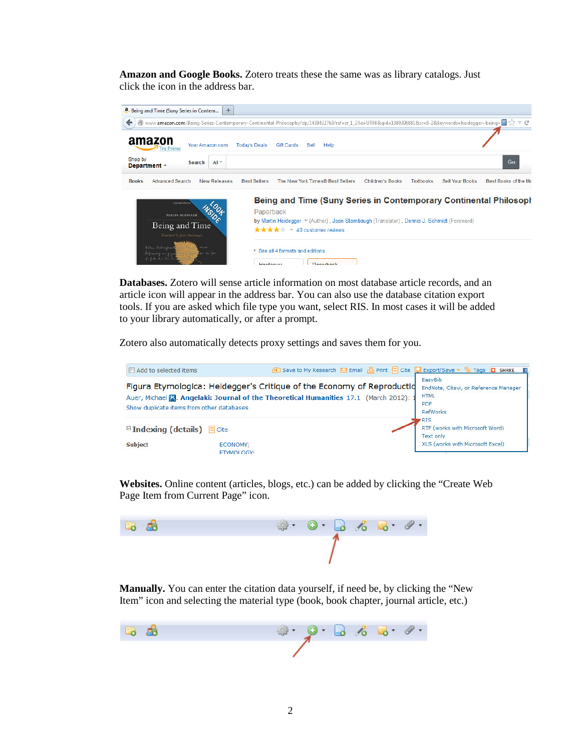**Amazon and Google Books.** Zotero treats these the same was as library catalogs. Just click the icon in the address bar.



**Databases.** Zotero will sense article information on most database article records, and an article icon will appear in the address bar. You can also use the database citation export tools. If you are asked which file type you want, select RIS. In most cases it will be added to your library automatically, or after a prompt.

Zotero also automatically detects proxy settings and saves them for you.



**Websites.** Online content (articles, blogs, etc.) can be added by clicking the "Create Web Page Item from Current Page" icon.



**Manually.** You can enter the citation data yourself, if need be, by clicking the "New Item" icon and selecting the material type (book, book chapter, journal article, etc.)

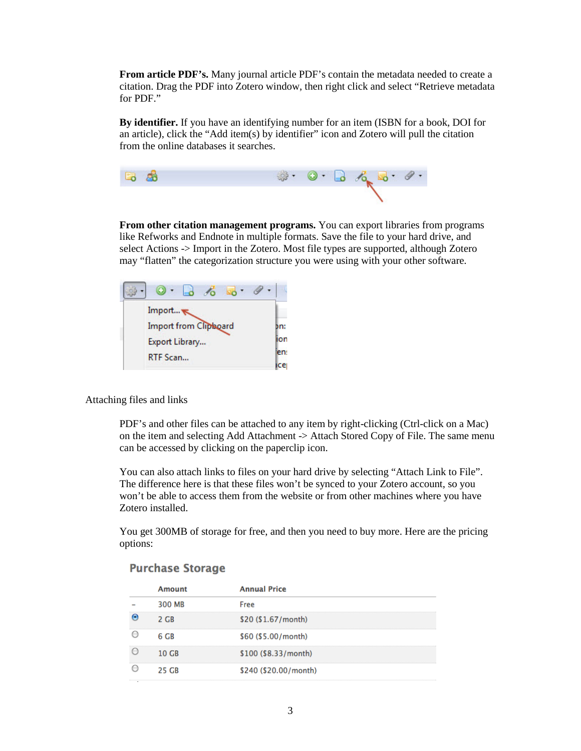**From article PDF's.** Many journal article PDF's contain the metadata needed to create a citation. Drag the PDF into Zotero window, then right click and select "Retrieve metadata for PDF."

**By identifier.** If you have an identifying number for an item (ISBN for a book, DOI for an article), click the "Add item(s) by identifier" icon and Zotero will pull the citation from the online databases it searches.



**From other citation management programs.** You can export libraries from programs like Refworks and Endnote in multiple formats. Save the file to your hard drive, and select Actions -> Import in the Zotero. Most file types are supported, although Zotero may "flatten" the categorization structure you were using with your other software.



Attaching files and links

PDF's and other files can be attached to any item by right-clicking (Ctrl-click on a Mac) on the item and selecting Add Attachment -> Attach Stored Copy of File. The same menu can be accessed by clicking on the paperclip icon.

You can also attach links to files on your hard drive by selecting "Attach Link to File". The difference here is that these files won't be synced to your Zotero account, so you won't be able to access them from the website or from other machines where you have Zotero installed.

You get 300MB of storage for free, and then you need to buy more. Here are the pricing options:

| Amount | <b>Annual Price</b>   |
|--------|-----------------------|
| 300 MB | Free                  |
| 2 G.R  | \$20 (\$1.67/month)   |
| 6 GB   | \$60 (\$5.00/month)   |
| 10 C.R | \$100 (\$8.33/month)  |
| 25 GR  | \$240 (\$20.00/month) |

## **Purchase Storage**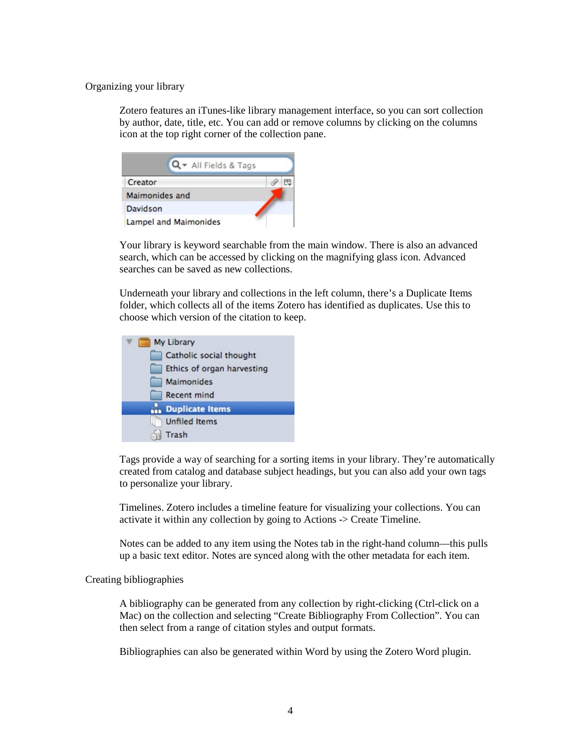Organizing your library

Zotero features an iTunes-like library management interface, so you can sort collection by author, date, title, etc. You can add or remove columns by clicking on the columns icon at the top right corner of the collection pane.

| Q + All Fields & Tags |  |
|-----------------------|--|
| Creator               |  |
| Maimonides and        |  |
| Davidson              |  |
| Lampel and Maimonides |  |

Your library is keyword searchable from the main window. There is also an advanced search, which can be accessed by clicking on the magnifying glass icon. Advanced searches can be saved as new collections.

Underneath your library and collections in the left column, there's a Duplicate Items folder, which collects all of the items Zotero has identified as duplicates. Use this to choose which version of the citation to keep.



Tags provide a way of searching for a sorting items in your library. They're automatically created from catalog and database subject headings, but you can also add your own tags to personalize your library.

Timelines. Zotero includes a timeline feature for visualizing your collections. You can activate it within any collection by going to Actions -> Create Timeline.

Notes can be added to any item using the Notes tab in the right-hand column—this pulls up a basic text editor. Notes are synced along with the other metadata for each item.

Creating bibliographies

A bibliography can be generated from any collection by right-clicking (Ctrl-click on a Mac) on the collection and selecting "Create Bibliography From Collection". You can then select from a range of citation styles and output formats.

Bibliographies can also be generated within Word by using the Zotero Word plugin.